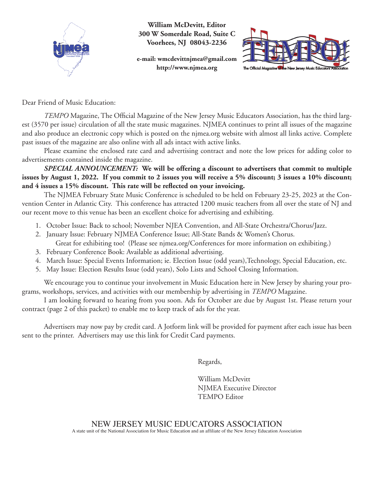

**William McDevitt, Editor 300 W Somerdale Road, Suite C Voorhees, NJ 08043-2236**

**e-mail: wmcdevittnjmea@gmail.com http://www.njmea.org**



Dear Friend of Music Education:

*TEMPO* Magazine, The Official Magazine of the New Jersey Music Educators Association, has the third largest (3570 per issue) circulation of all the state music magazines. NJMEA continues to print all issues of the magazine and also produce an electronic copy which is posted on the njmea.org website with almost all links active. Complete past issues of the magazine are also online with all ads intact with active links.

Please examine the enclosed rate card and advertising contract and note the low prices for adding color to advertisements contained inside the magazine.

*SPECIAL ANNOUNCEMENT:* **We will be offering a discount to advertisers that commit to multiple issues by August 1, 2022. If you commit to 2 issues you will receive a 5% discount; 3 issues a 10% discount; and 4 issues a 15% discount. This rate will be reflected on your invoicing.**

The NJMEA February State Music Conference is scheduled to be held on February 23-25, 2023 at the Convention Center in Atlantic City. This conference has attracted 1200 music teachers from all over the state of NJ and our recent move to this venue has been an excellent choice for advertising and exhibiting.

- 1. October Issue: Back to school; November NJEA Convention, and All-State Orchestra/Chorus/Jazz.
- 2. January Issue: February NJMEA Conference Issue; All-State Bands & Women's Chorus. Great for exhibiting too! (Please see njmea.org/Conferences for more information on exhibiting.)
- 3. February Conference Book: Available as additional advertising.
- 4. March Issue: Special Events Information; ie. Election Issue (odd years),Technology, Special Education, etc.
- 5. May Issue: Election Results Issue (odd years), Solo Lists and School Closing Information.

We encourage you to continue your involvement in Music Education here in New Jersey by sharing your programs, workshops, services, and activities with our membership by advertising in *TEMPO* Magazine.

I am looking forward to hearing from you soon. Ads for October are due by August 1st. Please return your contract (page 2 of this packet) to enable me to keep track of ads for the year.

Advertisers may now pay by credit card. A Jotform link will be provided for payment after each issue has been sent to the printer. Advertisers may use this link for Credit Card payments.

Regards,

William McDevitt NJMEA Executive Director TEMPO Editor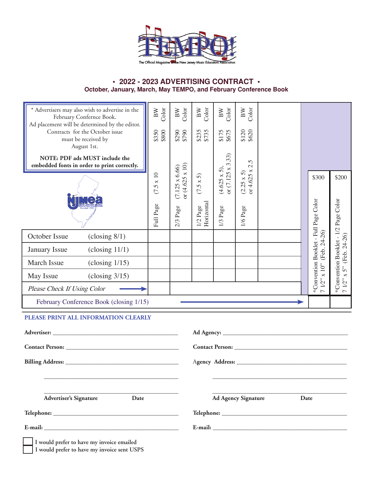

## **• 2022 - 2023 ADVERTISING CONTRACT • October, January, March, May TEMPO, and February Conference Book**

| * Advertisers may also wish to advertise in the<br>February Confernce Book.<br>Ad placement will be determined by the editor. | Color<br>$_{\rm BW}$ | $_{\rm Color}^{\rm BW}$                         | BW<br>Color              | BW<br>Color                                     | BW<br>Color                     |  |      |                                       |                                      |
|-------------------------------------------------------------------------------------------------------------------------------|----------------------|-------------------------------------------------|--------------------------|-------------------------------------------------|---------------------------------|--|------|---------------------------------------|--------------------------------------|
| Contracts for the October issue<br>must be received by<br>August 1st.                                                         | \$350<br>\$800       | \$290<br>\$790                                  | \$235<br>\$735           | $$175$<br>\$675                                 | $$120$<br>\$620                 |  |      |                                       |                                      |
| NOTE: PDF ads MUST include the                                                                                                |                      |                                                 |                          |                                                 | $\Omega$                        |  |      |                                       |                                      |
| embedded fonts in order to print correctly.                                                                                   |                      |                                                 |                          |                                                 | $\overline{\mathcal{C}}$        |  |      |                                       |                                      |
|                                                                                                                               | $(7.5 \times 10)$    | or $(4.625 \times 10)$<br>$(7.125 \times 6.66)$ | $(7.5 \times 5)$         | or $(7.125 \times 3.33)$<br>$(4.625 \times 5),$ | $(2.25 \times 5)$<br>or 4.625 x |  |      | \$300                                 | \$200                                |
|                                                                                                                               |                      |                                                 |                          |                                                 |                                 |  |      |                                       |                                      |
|                                                                                                                               | Full Page            | $2/3$ Page                                      | Horizontal<br>$1/2$ Page | $1/3$ Page                                      | $1/6$ Page                      |  |      | *Convention Booklet - Full Page Color | *Convention Booklet - 1/2 Page Color |
| October Issue<br>$\left(\text{closing } 8/1\right)$                                                                           |                      |                                                 |                          |                                                 |                                 |  |      | (Feb. 24-26)                          |                                      |
| $\left( \text{closing } 11/1 \right)$<br><b>January Issue</b>                                                                 |                      |                                                 |                          |                                                 |                                 |  |      |                                       | (Feb. 24-26)                         |
| March Issue<br>$\left( \text{closing } 1/15 \right)$                                                                          |                      |                                                 |                          |                                                 |                                 |  |      |                                       | 5"                                   |
| May Issue<br>$\left(\text{closing } 3/15\right)$                                                                              |                      |                                                 |                          |                                                 |                                 |  |      | $\times\,10^{\prime\prime}$           |                                      |
| Please Check If Using Color                                                                                                   |                      |                                                 |                          |                                                 |                                 |  |      | 712"                                  | $7$ $1/2"$ x :                       |
| February Conference Book (closing 1/15)                                                                                       |                      |                                                 |                          |                                                 |                                 |  |      |                                       |                                      |
| PLEASE PRINT ALL INFORMATION CLEARLY                                                                                          |                      |                                                 |                          |                                                 |                                 |  |      |                                       |                                      |
|                                                                                                                               |                      |                                                 |                          |                                                 |                                 |  |      |                                       |                                      |
|                                                                                                                               |                      |                                                 |                          |                                                 |                                 |  |      |                                       |                                      |
|                                                                                                                               |                      |                                                 |                          |                                                 |                                 |  |      |                                       |                                      |
|                                                                                                                               |                      |                                                 |                          |                                                 |                                 |  |      |                                       |                                      |
|                                                                                                                               |                      |                                                 |                          |                                                 |                                 |  |      |                                       |                                      |
| <b>Advertiser's Signature</b><br>Date                                                                                         |                      |                                                 |                          |                                                 | <b>Ad Agency Signature</b>      |  | Date |                                       |                                      |
|                                                                                                                               |                      |                                                 |                          |                                                 |                                 |  |      |                                       |                                      |
|                                                                                                                               |                      |                                                 |                          |                                                 |                                 |  |      |                                       |                                      |
| I would prefer to have my invoice emailed<br>I would prefer to have my invoice sent USPS                                      |                      |                                                 |                          |                                                 |                                 |  |      |                                       |                                      |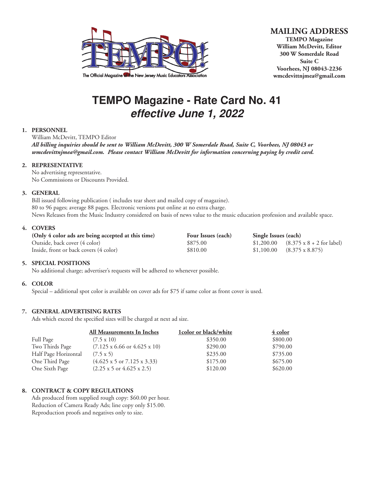

## **MAILING ADDRESS TEMPO Magazine**

**William McDevitt, Editor 300 W Somerdale Road Suite C Voorhees, NJ 08043-2236 wmcdevittnjmea@gmail.com**

# **TEMPO Magazine - Rate Card No. 41** *effective June 1, 2022*

## **1. PERSONNEL**

William McDevitt, TEMPO Editor *All billing inquiries should be sent to William McDevitt, 300 W Somerdale Road, Suite C, Voorhees, NJ 08043 or wmcdevittnjmea@gmail.com. Please contact William McDevitt for information concerning paying by credit card.*

## **2. REPRESENTATIVE**

No advertising representative. No Commissions or Discounts Provided.

## **3. GENERAL**

Bill issued following publication ( includes tear sheet and mailed copy of magazine). 80 to 96 pages; average 88 pages. Electronic versions put online at no extra charge. News Releases from the Music Industry considered on basis of news value to the music education profession and available space.

## **4. COVERS**

| (Only 4 color ads are being accepted at this time) | Four Issues (each) | Single Issues (each)                                 |  |
|----------------------------------------------------|--------------------|------------------------------------------------------|--|
| Outside, back cover (4 color)                      | \$875.00           | $$1,200.00$ $(8.375 \times 8 + 2 \text{ for label})$ |  |
| Inside, front or back covers (4 color)             | \$810.00           | $$1,100.00$ $(8.375 \times 8.875)$                   |  |

## **5. SPECIAL POSITIONS**

No additional charge; advertiser's requests will be adhered to whenever possible.

## **6. COLOR**

Special – additional spot color is available on cover ads for \$75 if same color as front cover is used.

## **7. GENERAL ADVERTISING RATES**

Ads which exceed the specified sizes will be charged at next ad size.

|                      | All Measurements In Inches                        | 1color or black/white | 4 color  |
|----------------------|---------------------------------------------------|-----------------------|----------|
| Full Page            | $(7.5 \times 10)$                                 | \$350.00              | \$800.00 |
| Two Thirds Page      | $(7.125 \times 6.66 \text{ or } 4.625 \times 10)$ | \$290.00              | \$790.00 |
| Half Page Horizontal | $(7.5 \times 5)$                                  | \$235.00              | \$735.00 |
| One Third Page       | $(4.625 \times 5 \text{ or } 7.125 \times 3.33)$  | \$175.00              | \$675.00 |
| One Sixth Page       | $(2.25 \times 5 \text{ or } 4.625 \times 2.5)$    | \$120.00              | \$620.00 |

## **8. CONTRACT & COPY REGULATIONS**

Ads produced from supplied rough copy: \$60.00 per hour. Reduction of Camera Ready Ads; line copy only \$15.00. Reproduction proofs and negatives only to size.